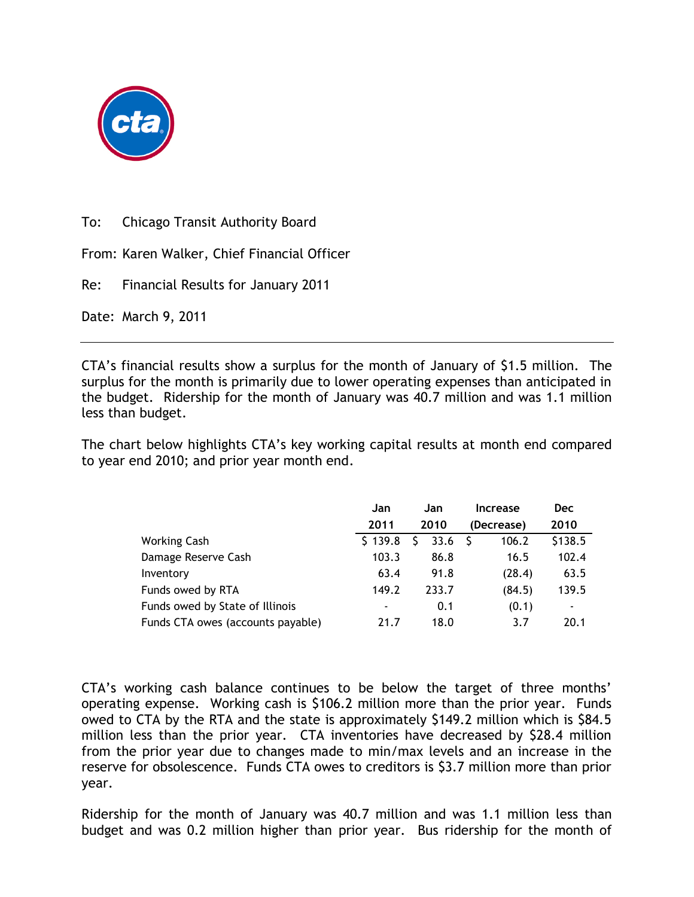

To: Chicago Transit Authority Board

From: Karen Walker, Chief Financial Officer

Re: Financial Results for January 2011

Date: March 9, 2011

CTA's financial results show a surplus for the month of January of \$1.5 million. The surplus for the month is primarily due to lower operating expenses than anticipated in the budget. Ridership for the month of January was 40.7 million and was 1.1 million less than budget.

The chart below highlights CTA's key working capital results at month end compared to year end 2010; and prior year month end.

|                                   | Jan     | Jan   | Increase   | <b>Dec</b> |
|-----------------------------------|---------|-------|------------|------------|
|                                   | 2011    | 2010  | (Decrease) | 2010       |
| <b>Working Cash</b>               | \$139.8 | 33.6  | 106.2      | \$138.5    |
| Damage Reserve Cash               | 103.3   | 86.8  | 16.5       | 102.4      |
| Inventory                         | 63.4    | 91.8  | (28.4)     | 63.5       |
| Funds owed by RTA                 | 149.2   | 233.7 | (84.5)     | 139.5      |
| Funds owed by State of Illinois   | ۰       | 0.1   | (0.1)      | ٠          |
| Funds CTA owes (accounts payable) | 21.7    | 18.0  | 3.7        | 20.1       |

CTA's working cash balance continues to be below the target of three months' operating expense. Working cash is \$106.2 million more than the prior year. Funds owed to CTA by the RTA and the state is approximately \$149.2 million which is \$84.5 million less than the prior year. CTA inventories have decreased by \$28.4 million from the prior year due to changes made to min/max levels and an increase in the reserve for obsolescence. Funds CTA owes to creditors is \$3.7 million more than prior year.

Ridership for the month of January was 40.7 million and was 1.1 million less than budget and was 0.2 million higher than prior year. Bus ridership for the month of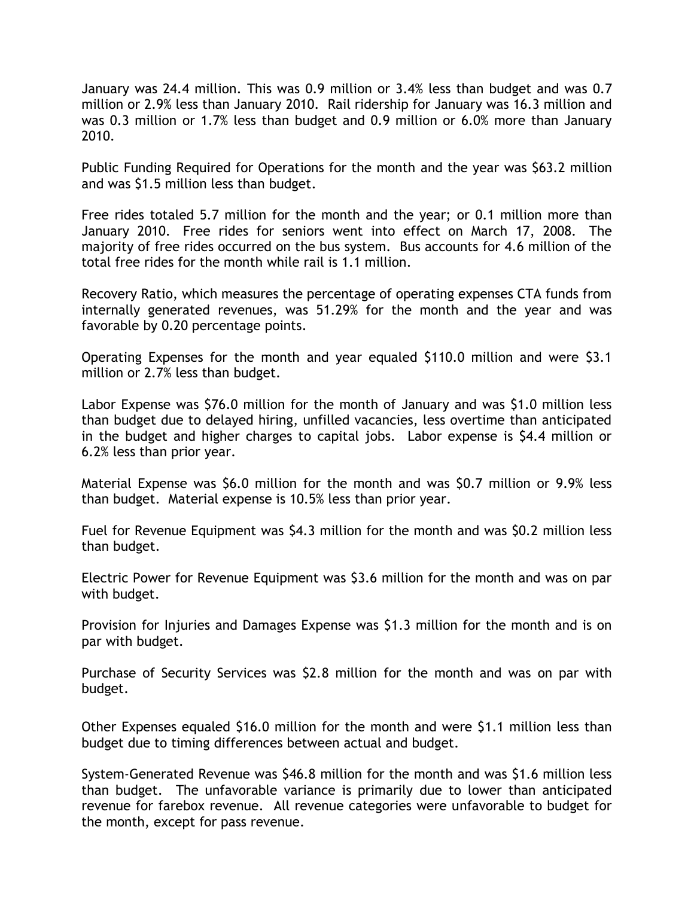January was 24.4 million. This was 0.9 million or 3.4% less than budget and was 0.7 million or 2.9% less than January 2010. Rail ridership for January was 16.3 million and was 0.3 million or 1.7% less than budget and 0.9 million or 6.0% more than January 2010.

Public Funding Required for Operations for the month and the year was \$63.2 million and was \$1.5 million less than budget.

Free rides totaled 5.7 million for the month and the year; or 0.1 million more than January 2010. Free rides for seniors went into effect on March 17, 2008. The majority of free rides occurred on the bus system. Bus accounts for 4.6 million of the total free rides for the month while rail is 1.1 million.

Recovery Ratio, which measures the percentage of operating expenses CTA funds from internally generated revenues, was 51.29% for the month and the year and was favorable by 0.20 percentage points.

Operating Expenses for the month and year equaled \$110.0 million and were \$3.1 million or 2.7% less than budget.

Labor Expense was \$76.0 million for the month of January and was \$1.0 million less than budget due to delayed hiring, unfilled vacancies, less overtime than anticipated in the budget and higher charges to capital jobs. Labor expense is \$4.4 million or 6.2% less than prior year.

Material Expense was \$6.0 million for the month and was \$0.7 million or 9.9% less than budget. Material expense is 10.5% less than prior year.

Fuel for Revenue Equipment was \$4.3 million for the month and was \$0.2 million less than budget.

Electric Power for Revenue Equipment was \$3.6 million for the month and was on par with budget.

Provision for Injuries and Damages Expense was \$1.3 million for the month and is on par with budget.

Purchase of Security Services was \$2.8 million for the month and was on par with budget.

Other Expenses equaled \$16.0 million for the month and were \$1.1 million less than budget due to timing differences between actual and budget.

System-Generated Revenue was \$46.8 million for the month and was \$1.6 million less than budget. The unfavorable variance is primarily due to lower than anticipated revenue for farebox revenue. All revenue categories were unfavorable to budget for the month, except for pass revenue.